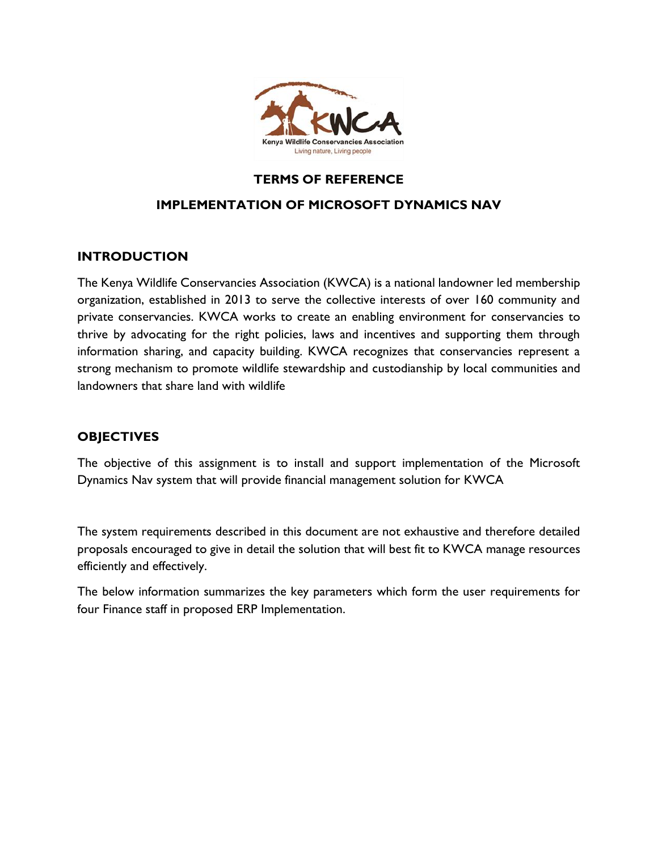

## **TERMS OF REFERENCE**

### **IMPLEMENTATION OF MICROSOFT DYNAMICS NAV**

### **INTRODUCTION**

The Kenya Wildlife Conservancies Association (KWCA) is a national landowner led membership organization, established in 2013 to serve the collective interests of over 160 community and private conservancies. KWCA works to create an enabling environment for conservancies to thrive by advocating for the right policies, laws and incentives and supporting them through information sharing, and capacity building. KWCA recognizes that conservancies represent a strong mechanism to promote wildlife stewardship and custodianship by local communities and landowners that share land with wildlife

## **OBJECTIVES**

The objective of this assignment is to install and support implementation of the Microsoft Dynamics Nav system that will provide financial management solution for KWCA

The system requirements described in this document are not exhaustive and therefore detailed proposals encouraged to give in detail the solution that will best fit to KWCA manage resources efficiently and effectively.

The below information summarizes the key parameters which form the user requirements for four Finance staff in proposed ERP Implementation.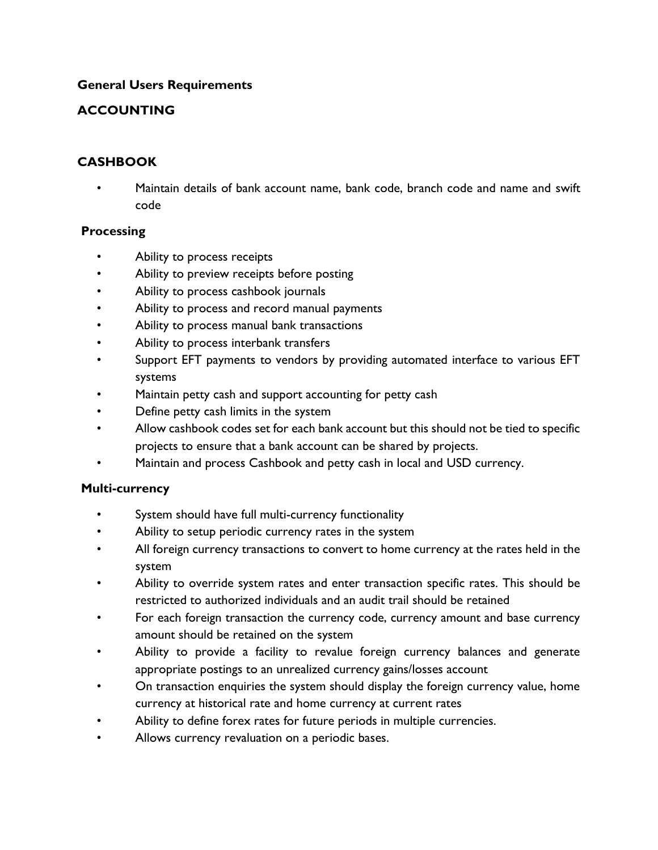### **General Users Requirements**

## **ACCOUNTING**

## **CASHBOOK**

• Maintain details of bank account name, bank code, branch code and name and swift code

### **Processing**

- Ability to process receipts
- Ability to preview receipts before posting
- Ability to process cashbook journals
- Ability to process and record manual payments
- Ability to process manual bank transactions
- Ability to process interbank transfers
- Support EFT payments to vendors by providing automated interface to various EFT systems
- Maintain petty cash and support accounting for petty cash
- Define petty cash limits in the system
- Allow cashbook codes set for each bank account but this should not be tied to specific projects to ensure that a bank account can be shared by projects.
- Maintain and process Cashbook and petty cash in local and USD currency.

### **Multi-currency**

- System should have full multi-currency functionality
- Ability to setup periodic currency rates in the system
- All foreign currency transactions to convert to home currency at the rates held in the system
- Ability to override system rates and enter transaction specific rates. This should be restricted to authorized individuals and an audit trail should be retained
- For each foreign transaction the currency code, currency amount and base currency amount should be retained on the system
- Ability to provide a facility to revalue foreign currency balances and generate appropriate postings to an unrealized currency gains/losses account
- On transaction enquiries the system should display the foreign currency value, home currency at historical rate and home currency at current rates
- Ability to define forex rates for future periods in multiple currencies.
- Allows currency revaluation on a periodic bases.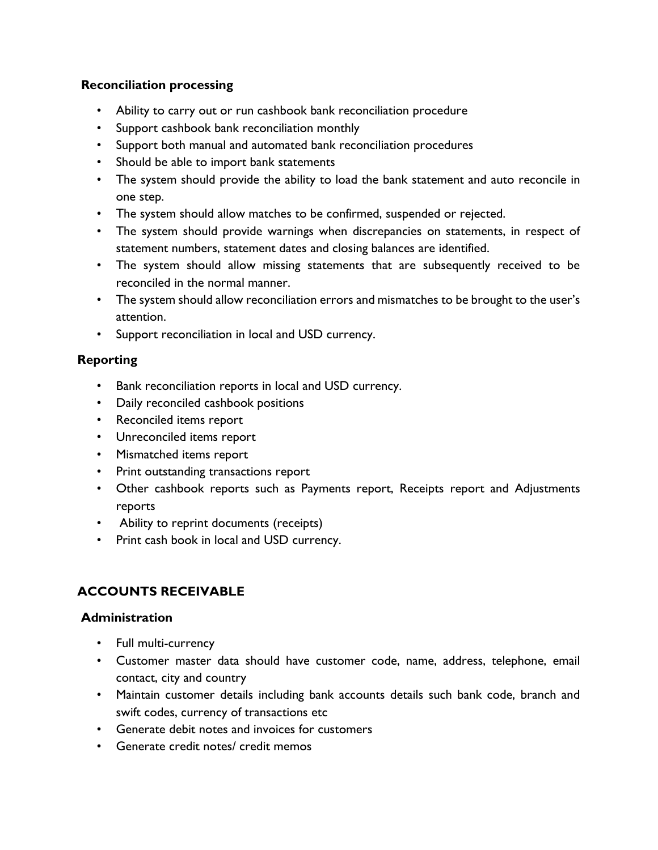### **Reconciliation processing**

- Ability to carry out or run cashbook bank reconciliation procedure
- Support cashbook bank reconciliation monthly
- Support both manual and automated bank reconciliation procedures
- Should be able to import bank statements
- The system should provide the ability to load the bank statement and auto reconcile in one step.
- The system should allow matches to be confirmed, suspended or rejected.
- The system should provide warnings when discrepancies on statements, in respect of statement numbers, statement dates and closing balances are identified.
- The system should allow missing statements that are subsequently received to be reconciled in the normal manner.
- The system should allow reconciliation errors and mismatches to be brought to the user's attention.
- Support reconciliation in local and USD currency.

### **Reporting**

- Bank reconciliation reports in local and USD currency.
- Daily reconciled cashbook positions
- Reconciled items report
- Unreconciled items report
- Mismatched items report
- Print outstanding transactions report
- Other cashbook reports such as Payments report, Receipts report and Adjustments reports
- Ability to reprint documents (receipts)
- Print cash book in local and USD currency.

# **ACCOUNTS RECEIVABLE**

- Full multi-currency
- Customer master data should have customer code, name, address, telephone, email contact, city and country
- Maintain customer details including bank accounts details such bank code, branch and swift codes, currency of transactions etc
- Generate debit notes and invoices for customers
- Generate credit notes/ credit memos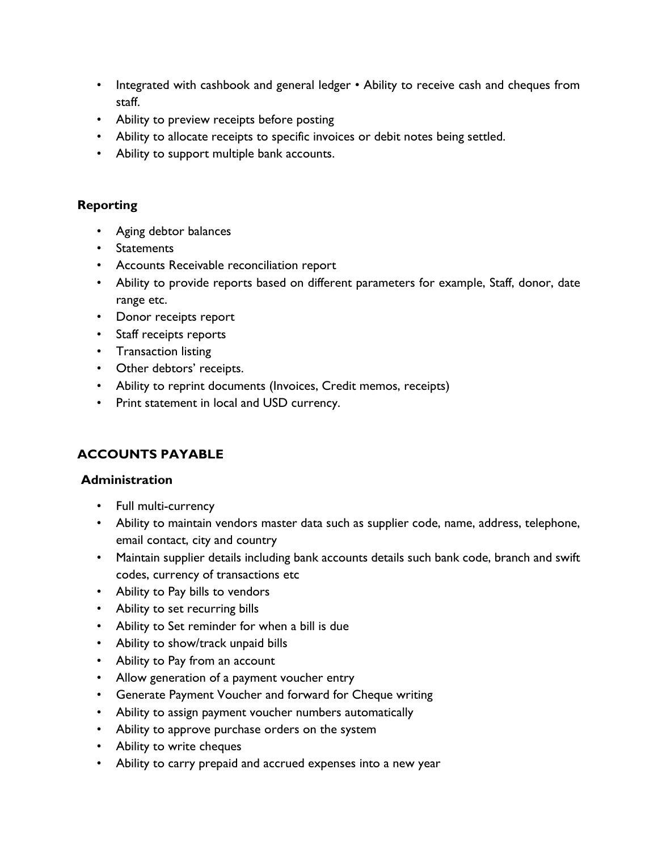- Integrated with cashbook and general ledger Ability to receive cash and cheques from staff.
- Ability to preview receipts before posting
- Ability to allocate receipts to specific invoices or debit notes being settled.
- Ability to support multiple bank accounts.

- Aging debtor balances
- Statements
- Accounts Receivable reconciliation report
- Ability to provide reports based on different parameters for example, Staff, donor, date range etc.
- Donor receipts report
- Staff receipts reports
- Transaction listing
- Other debtors' receipts.
- Ability to reprint documents (Invoices, Credit memos, receipts)
- Print statement in local and USD currency.

# **ACCOUNTS PAYABLE**

- Full multi-currency
- Ability to maintain vendors master data such as supplier code, name, address, telephone, email contact, city and country
- Maintain supplier details including bank accounts details such bank code, branch and swift codes, currency of transactions etc
- Ability to Pay bills to vendors
- Ability to set recurring bills
- Ability to Set reminder for when a bill is due
- Ability to show/track unpaid bills
- Ability to Pay from an account
- Allow generation of a payment voucher entry
- Generate Payment Voucher and forward for Cheque writing
- Ability to assign payment voucher numbers automatically
- Ability to approve purchase orders on the system
- Ability to write cheques
- Ability to carry prepaid and accrued expenses into a new year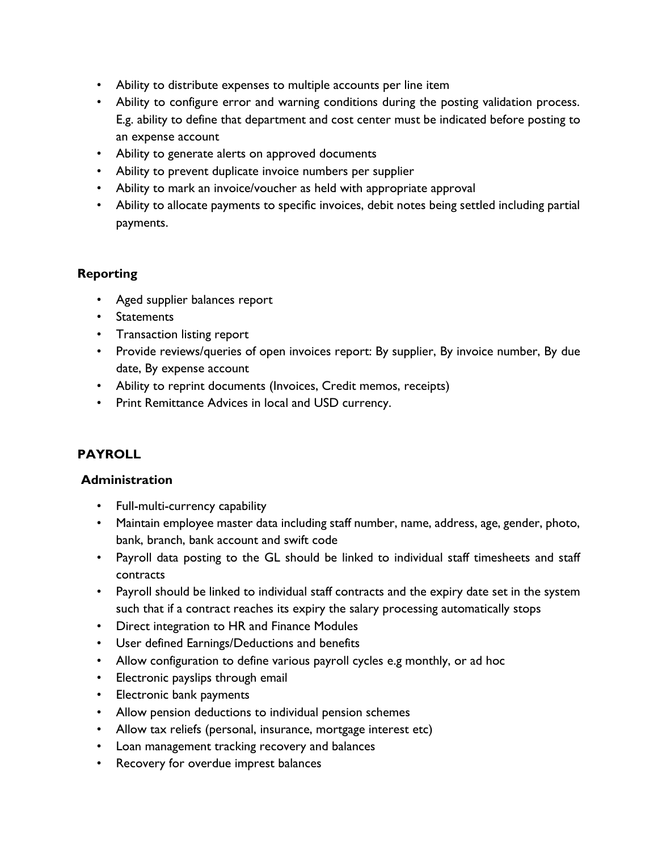- Ability to distribute expenses to multiple accounts per line item
- Ability to configure error and warning conditions during the posting validation process. E.g. ability to define that department and cost center must be indicated before posting to an expense account
- Ability to generate alerts on approved documents
- Ability to prevent duplicate invoice numbers per supplier
- Ability to mark an invoice/voucher as held with appropriate approval
- Ability to allocate payments to specific invoices, debit notes being settled including partial payments.

- Aged supplier balances report
- Statements
- Transaction listing report
- Provide reviews/queries of open invoices report: By supplier, By invoice number, By due date, By expense account
- Ability to reprint documents (Invoices, Credit memos, receipts)
- Print Remittance Advices in local and USD currency.

# **PAYROLL**

- Full-multi-currency capability
- Maintain employee master data including staff number, name, address, age, gender, photo, bank, branch, bank account and swift code
- Payroll data posting to the GL should be linked to individual staff timesheets and staff contracts
- Payroll should be linked to individual staff contracts and the expiry date set in the system such that if a contract reaches its expiry the salary processing automatically stops
- Direct integration to HR and Finance Modules
- User defined Earnings/Deductions and benefits
- Allow configuration to define various payroll cycles e.g monthly, or ad hoc
- Electronic payslips through email
- Electronic bank payments
- Allow pension deductions to individual pension schemes
- Allow tax reliefs (personal, insurance, mortgage interest etc)
- Loan management tracking recovery and balances
- Recovery for overdue imprest balances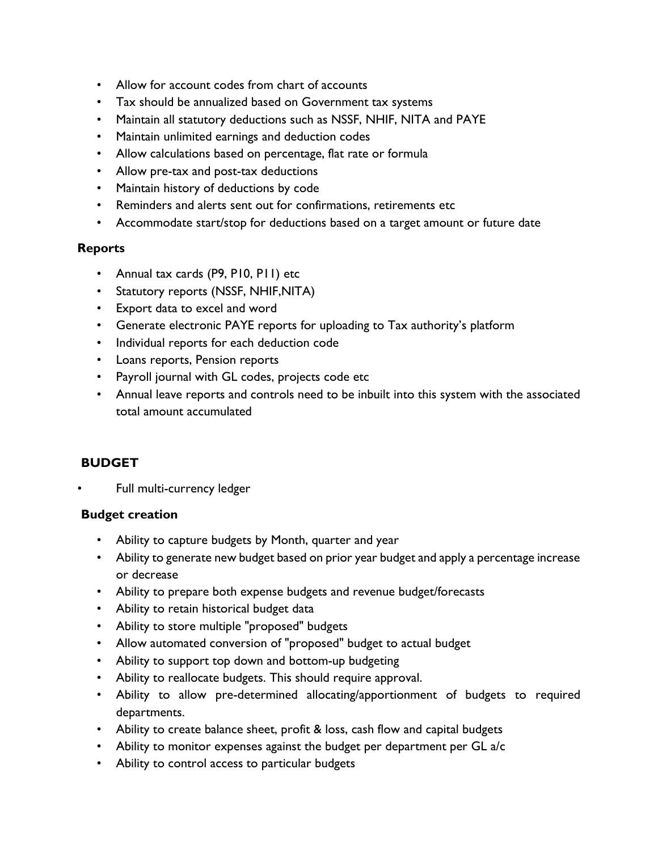- Allow for account codes from chart of accounts
- Tax should be annualized based on Government tax systems
- Maintain all statutory deductions such as NSSF, NHIF, NITA and PAYE
- Maintain unlimited earnings and deduction codes
- Allow calculations based on percentage, flat rate or formula
- Allow pre-tax and post-tax deductions
- Maintain history of deductions by code
- Reminders and alerts sent out for confirmations, retirements etc
- Accommodate start/stop for deductions based on a target amount or future date

#### **Reports**

- Annual tax cards (P9, P10, P11) etc
- Statutory reports (NSSF, NHIF,NITA)
- Export data to excel and word
- Generate electronic PAYE reports for uploading to Tax authority's platform
- Individual reports for each deduction code
- Loans reports, Pension reports
- Payroll journal with GL codes, projects code etc
- Annual leave reports and controls need to be inbuilt into this system with the associated total amount accumulated

### **BUDGET**

Full multi-currency ledger

### **Budget creation**

- Ability to capture budgets by Month, quarter and year
- Ability to generate new budget based on prior year budget and apply a percentage increase or decrease
- Ability to prepare both expense budgets and revenue budget/forecasts
- Ability to retain historical budget data
- Ability to store multiple "proposed" budgets
- Allow automated conversion of "proposed" budget to actual budget
- Ability to support top down and bottom-up budgeting
- Ability to reallocate budgets. This should require approval.
- Ability to allow pre-determined allocating/apportionment of budgets to required departments.
- Ability to create balance sheet, profit & loss, cash flow and capital budgets
- Ability to monitor expenses against the budget per department per GL a/c
- Ability to control access to particular budgets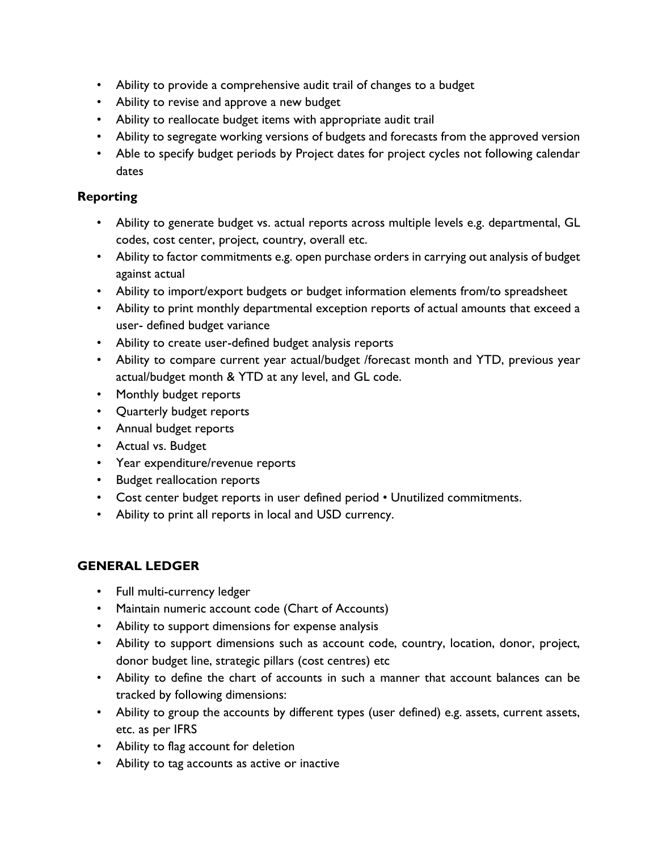- Ability to provide a comprehensive audit trail of changes to a budget
- Ability to revise and approve a new budget
- Ability to reallocate budget items with appropriate audit trail
- Ability to segregate working versions of budgets and forecasts from the approved version
- Able to specify budget periods by Project dates for project cycles not following calendar dates

- Ability to generate budget vs. actual reports across multiple levels e.g. departmental, GL codes, cost center, project, country, overall etc.
- Ability to factor commitments e.g. open purchase orders in carrying out analysis of budget against actual
- Ability to import/export budgets or budget information elements from/to spreadsheet
- Ability to print monthly departmental exception reports of actual amounts that exceed a user- defined budget variance
- Ability to create user-defined budget analysis reports
- Ability to compare current year actual/budget /forecast month and YTD, previous year actual/budget month & YTD at any level, and GL code.
- Monthly budget reports
- Quarterly budget reports
- Annual budget reports
- Actual vs. Budget
- Year expenditure/revenue reports
- Budget reallocation reports
- Cost center budget reports in user defined period Unutilized commitments.
- Ability to print all reports in local and USD currency.

## **GENERAL LEDGER**

- Full multi-currency ledger
- Maintain numeric account code (Chart of Accounts)
- Ability to support dimensions for expense analysis
- Ability to support dimensions such as account code, country, location, donor, project, donor budget line, strategic pillars (cost centres) etc
- Ability to define the chart of accounts in such a manner that account balances can be tracked by following dimensions:
- Ability to group the accounts by different types (user defined) e.g. assets, current assets, etc. as per IFRS
- Ability to flag account for deletion
- Ability to tag accounts as active or inactive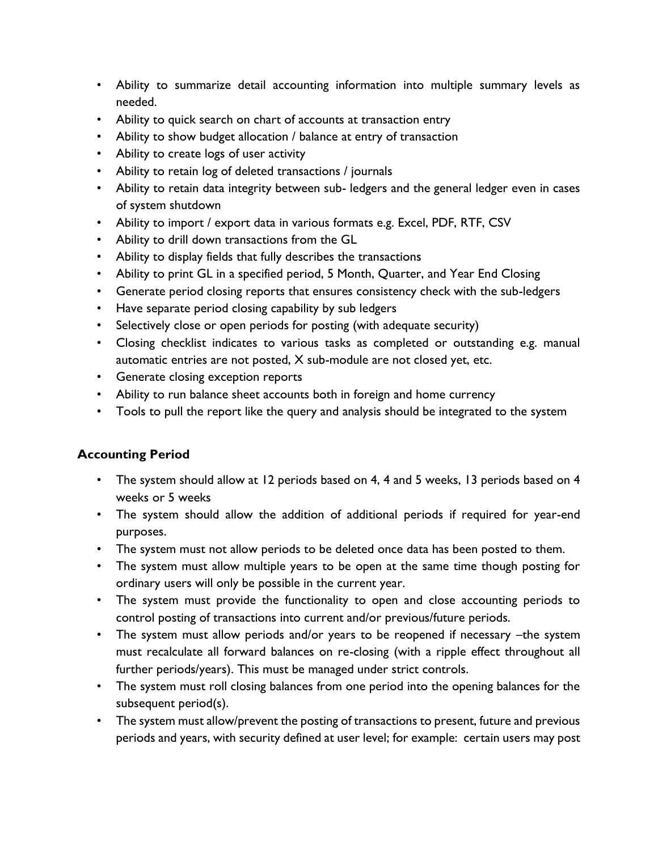- Ability to summarize detail accounting information into multiple summary levels as needed.
- Ability to quick search on chart of accounts at transaction entry
- Ability to show budget allocation / balance at entry of transaction
- Ability to create logs of user activity
- Ability to retain log of deleted transactions / journals
- Ability to retain data integrity between sub- ledgers and the general ledger even in cases of system shutdown
- Ability to import / export data in various formats e.g. Excel, PDF, RTF, CSV
- Ability to drill down transactions from the GL
- Ability to display fields that fully describes the transactions
- Ability to print GL in a specified period, 5 Month, Quarter, and Year End Closing
- Generate period closing reports that ensures consistency check with the sub-ledgers
- Have separate period closing capability by sub ledgers
- Selectively close or open periods for posting (with adequate security)
- Closing checklist indicates to various tasks as completed or outstanding e.g. manual automatic entries are not posted, X sub-module are not closed yet, etc.
- Generate closing exception reports
- Ability to run balance sheet accounts both in foreign and home currency
- Tools to pull the report like the query and analysis should be integrated to the system

## **Accounting Period**

- The system should allow at 12 periods based on 4, 4 and 5 weeks, 13 periods based on 4 weeks or 5 weeks
- The system should allow the addition of additional periods if required for year-end purposes.
- The system must not allow periods to be deleted once data has been posted to them.
- The system must allow multiple years to be open at the same time though posting for ordinary users will only be possible in the current year.
- The system must provide the functionality to open and close accounting periods to control posting of transactions into current and/or previous/future periods.
- The system must allow periods and/or years to be reopened if necessary –the system must recalculate all forward balances on re-closing (with a ripple effect throughout all further periods/years). This must be managed under strict controls.
- The system must roll closing balances from one period into the opening balances for the subsequent period(s).
- The system must allow/prevent the posting of transactions to present, future and previous periods and years, with security defined at user level; for example: certain users may post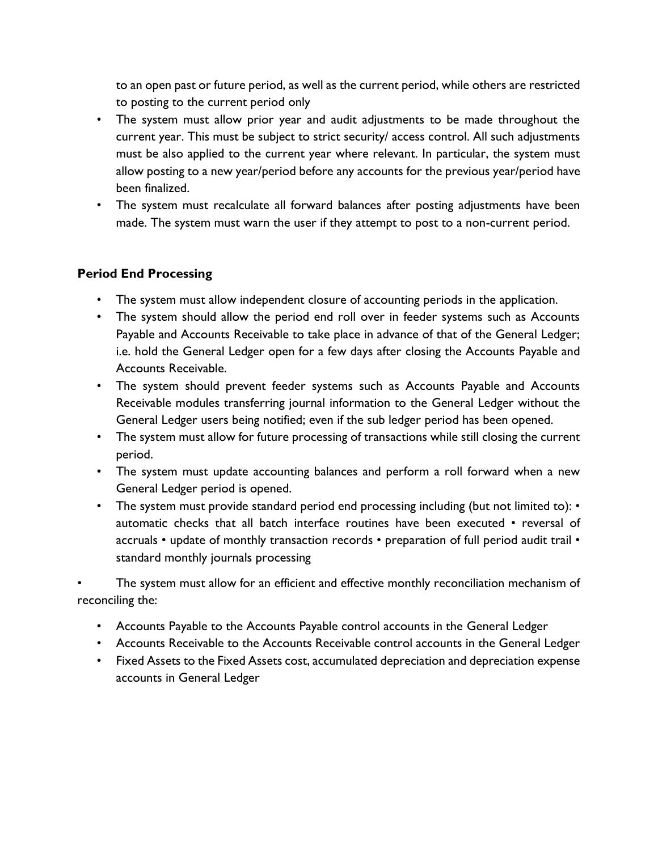to an open past or future period, as well as the current period, while others are restricted to posting to the current period only

- The system must allow prior year and audit adjustments to be made throughout the current year. This must be subject to strict security/ access control. All such adjustments must be also applied to the current year where relevant. In particular, the system must allow posting to a new year/period before any accounts for the previous year/period have been finalized.
- The system must recalculate all forward balances after posting adjustments have been made. The system must warn the user if they attempt to post to a non-current period.

### **Period End Processing**

- The system must allow independent closure of accounting periods in the application.
- The system should allow the period end roll over in feeder systems such as Accounts Payable and Accounts Receivable to take place in advance of that of the General Ledger; i.e. hold the General Ledger open for a few days after closing the Accounts Payable and Accounts Receivable.
- The system should prevent feeder systems such as Accounts Payable and Accounts Receivable modules transferring journal information to the General Ledger without the General Ledger users being notified; even if the sub ledger period has been opened.
- The system must allow for future processing of transactions while still closing the current period.
- The system must update accounting balances and perform a roll forward when a new General Ledger period is opened.
- The system must provide standard period end processing including (but not limited to): automatic checks that all batch interface routines have been executed • reversal of accruals • update of monthly transaction records • preparation of full period audit trail • standard monthly journals processing

The system must allow for an efficient and effective monthly reconciliation mechanism of reconciling the:

- Accounts Payable to the Accounts Payable control accounts in the General Ledger
- Accounts Receivable to the Accounts Receivable control accounts in the General Ledger
- Fixed Assets to the Fixed Assets cost, accumulated depreciation and depreciation expense accounts in General Ledger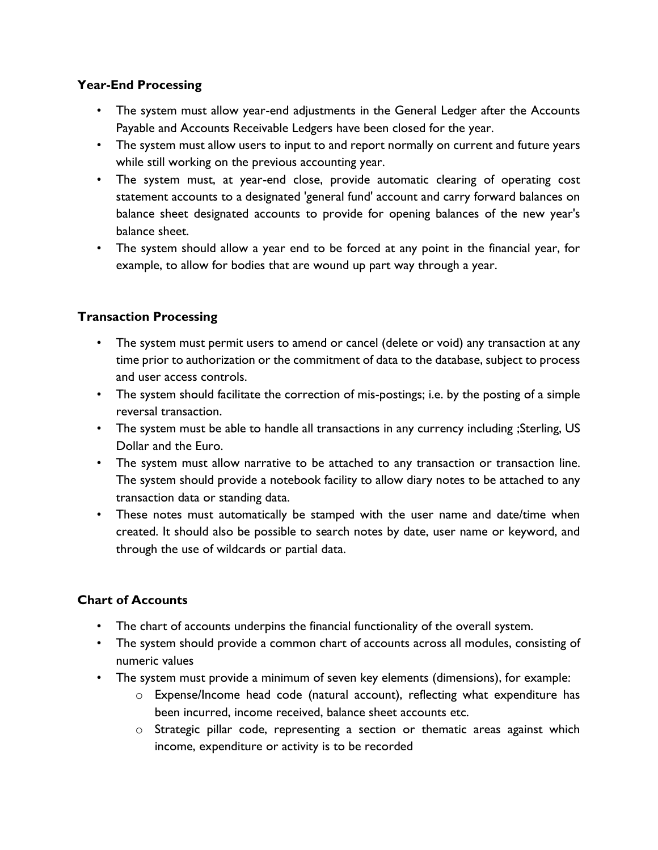### **Year-End Processing**

- The system must allow year-end adjustments in the General Ledger after the Accounts Payable and Accounts Receivable Ledgers have been closed for the year.
- The system must allow users to input to and report normally on current and future years while still working on the previous accounting year.
- The system must, at year-end close, provide automatic clearing of operating cost statement accounts to a designated 'general fund' account and carry forward balances on balance sheet designated accounts to provide for opening balances of the new year's balance sheet.
- The system should allow a year end to be forced at any point in the financial year, for example, to allow for bodies that are wound up part way through a year.

## **Transaction Processing**

- The system must permit users to amend or cancel (delete or void) any transaction at any time prior to authorization or the commitment of data to the database, subject to process and user access controls.
- The system should facilitate the correction of mis-postings; i.e. by the posting of a simple reversal transaction.
- The system must be able to handle all transactions in any currency including ;Sterling, US Dollar and the Euro.
- The system must allow narrative to be attached to any transaction or transaction line. The system should provide a notebook facility to allow diary notes to be attached to any transaction data or standing data.
- These notes must automatically be stamped with the user name and date/time when created. It should also be possible to search notes by date, user name or keyword, and through the use of wildcards or partial data.

## **Chart of Accounts**

- The chart of accounts underpins the financial functionality of the overall system.
- The system should provide a common chart of accounts across all modules, consisting of numeric values
- The system must provide a minimum of seven key elements (dimensions), for example:
	- o Expense/Income head code (natural account), reflecting what expenditure has been incurred, income received, balance sheet accounts etc.
	- o Strategic pillar code, representing a section or thematic areas against which income, expenditure or activity is to be recorded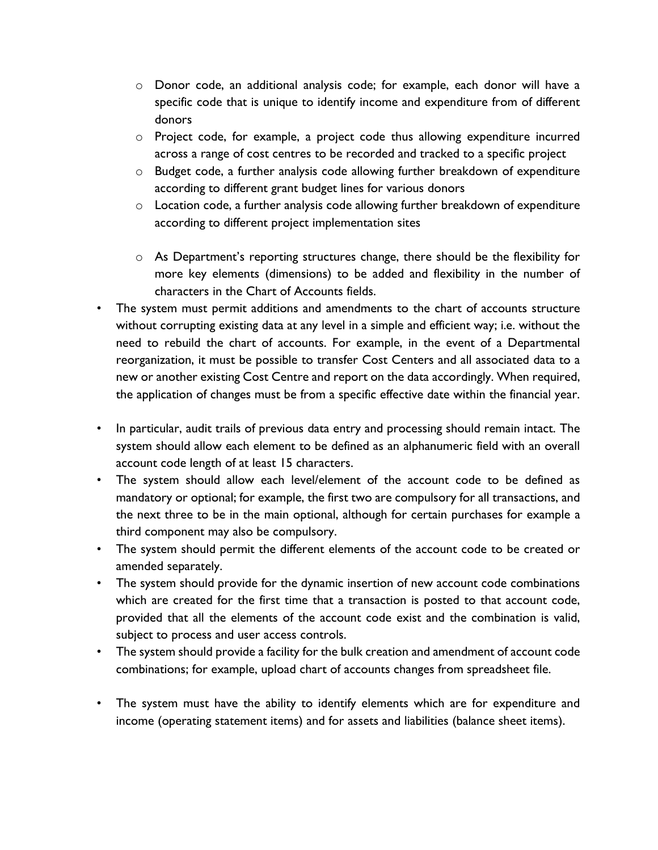- o Donor code, an additional analysis code; for example, each donor will have a specific code that is unique to identify income and expenditure from of different donors
- o Project code, for example, a project code thus allowing expenditure incurred across a range of cost centres to be recorded and tracked to a specific project
- o Budget code, a further analysis code allowing further breakdown of expenditure according to different grant budget lines for various donors
- $\circ$  Location code, a further analysis code allowing further breakdown of expenditure according to different project implementation sites
- o As Department's reporting structures change, there should be the flexibility for more key elements (dimensions) to be added and flexibility in the number of characters in the Chart of Accounts fields.
- The system must permit additions and amendments to the chart of accounts structure without corrupting existing data at any level in a simple and efficient way; i.e. without the need to rebuild the chart of accounts. For example, in the event of a Departmental reorganization, it must be possible to transfer Cost Centers and all associated data to a new or another existing Cost Centre and report on the data accordingly. When required, the application of changes must be from a specific effective date within the financial year.
- In particular, audit trails of previous data entry and processing should remain intact. The system should allow each element to be defined as an alphanumeric field with an overall account code length of at least 15 characters.
- The system should allow each level/element of the account code to be defined as mandatory or optional; for example, the first two are compulsory for all transactions, and the next three to be in the main optional, although for certain purchases for example a third component may also be compulsory.
- The system should permit the different elements of the account code to be created or amended separately.
- The system should provide for the dynamic insertion of new account code combinations which are created for the first time that a transaction is posted to that account code, provided that all the elements of the account code exist and the combination is valid, subject to process and user access controls.
- The system should provide a facility for the bulk creation and amendment of account code combinations; for example, upload chart of accounts changes from spreadsheet file.
- The system must have the ability to identify elements which are for expenditure and income (operating statement items) and for assets and liabilities (balance sheet items).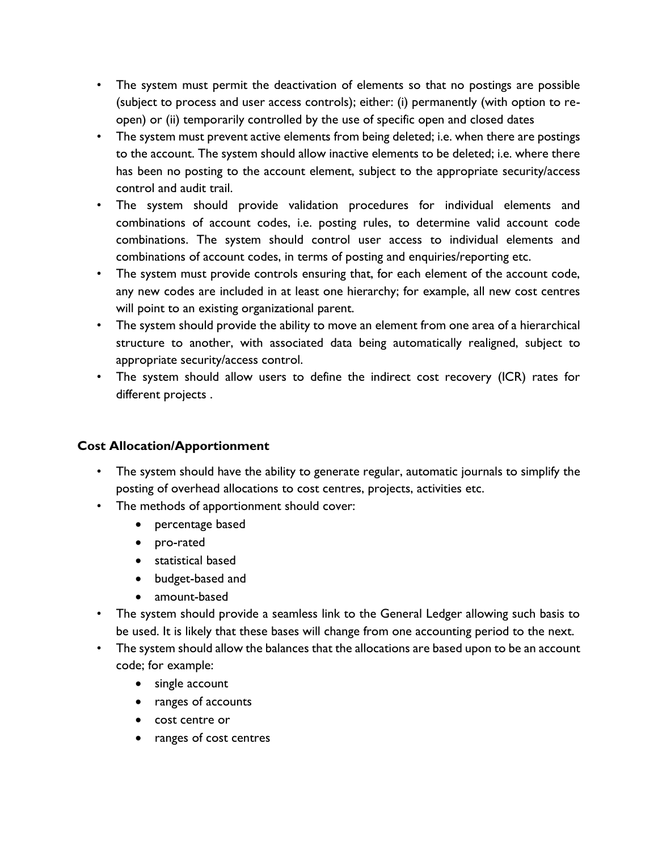- The system must permit the deactivation of elements so that no postings are possible (subject to process and user access controls); either: (i) permanently (with option to reopen) or (ii) temporarily controlled by the use of specific open and closed dates
- The system must prevent active elements from being deleted; i.e. when there are postings to the account. The system should allow inactive elements to be deleted; i.e. where there has been no posting to the account element, subject to the appropriate security/access control and audit trail.
- The system should provide validation procedures for individual elements and combinations of account codes, i.e. posting rules, to determine valid account code combinations. The system should control user access to individual elements and combinations of account codes, in terms of posting and enquiries/reporting etc.
- The system must provide controls ensuring that, for each element of the account code, any new codes are included in at least one hierarchy; for example, all new cost centres will point to an existing organizational parent.
- The system should provide the ability to move an element from one area of a hierarchical structure to another, with associated data being automatically realigned, subject to appropriate security/access control.
- The system should allow users to define the indirect cost recovery (ICR) rates for different projects .

## **Cost Allocation/Apportionment**

- The system should have the ability to generate regular, automatic journals to simplify the posting of overhead allocations to cost centres, projects, activities etc.
- The methods of apportionment should cover:
	- percentage based
	- pro-rated
	- statistical based
	- budget-based and
	- amount-based
- The system should provide a seamless link to the General Ledger allowing such basis to be used. It is likely that these bases will change from one accounting period to the next.
- The system should allow the balances that the allocations are based upon to be an account code; for example:
	- single account
	- ranges of accounts
	- cost centre or
	- ranges of cost centres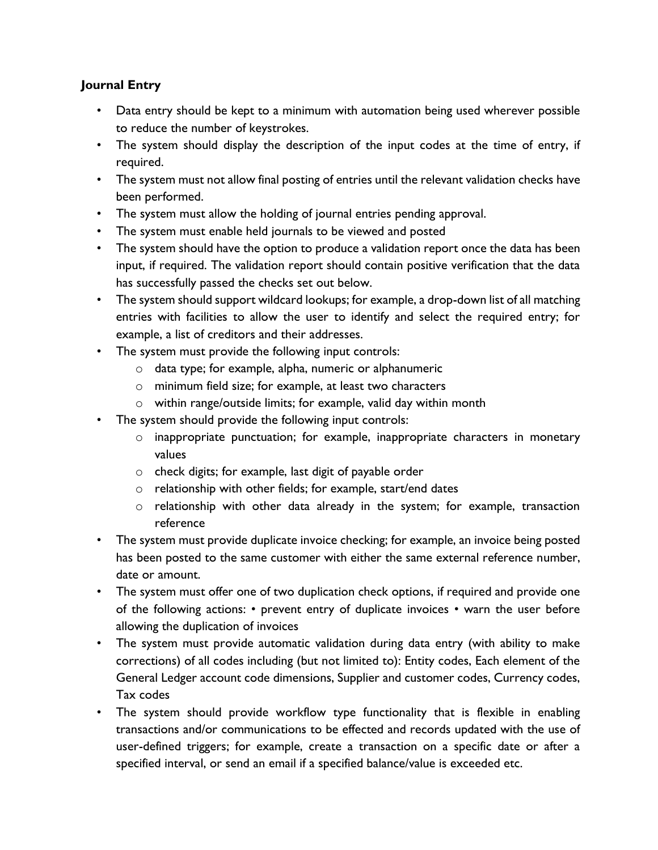### **Journal Entry**

- Data entry should be kept to a minimum with automation being used wherever possible to reduce the number of keystrokes.
- The system should display the description of the input codes at the time of entry, if required.
- The system must not allow final posting of entries until the relevant validation checks have been performed.
- The system must allow the holding of journal entries pending approval.
- The system must enable held journals to be viewed and posted
- The system should have the option to produce a validation report once the data has been input, if required. The validation report should contain positive verification that the data has successfully passed the checks set out below.
- The system should support wildcard lookups; for example, a drop-down list of all matching entries with facilities to allow the user to identify and select the required entry; for example, a list of creditors and their addresses.
- The system must provide the following input controls:
	- o data type; for example, alpha, numeric or alphanumeric
	- o minimum field size; for example, at least two characters
	- o within range/outside limits; for example, valid day within month
- The system should provide the following input controls:
	- o inappropriate punctuation; for example, inappropriate characters in monetary values
	- o check digits; for example, last digit of payable order
	- o relationship with other fields; for example, start/end dates
	- o relationship with other data already in the system; for example, transaction reference
- The system must provide duplicate invoice checking; for example, an invoice being posted has been posted to the same customer with either the same external reference number, date or amount.
- The system must offer one of two duplication check options, if required and provide one of the following actions: • prevent entry of duplicate invoices • warn the user before allowing the duplication of invoices
- The system must provide automatic validation during data entry (with ability to make corrections) of all codes including (but not limited to): Entity codes, Each element of the General Ledger account code dimensions, Supplier and customer codes, Currency codes, Tax codes
- The system should provide workflow type functionality that is flexible in enabling transactions and/or communications to be effected and records updated with the use of user-defined triggers; for example, create a transaction on a specific date or after a specified interval, or send an email if a specified balance/value is exceeded etc.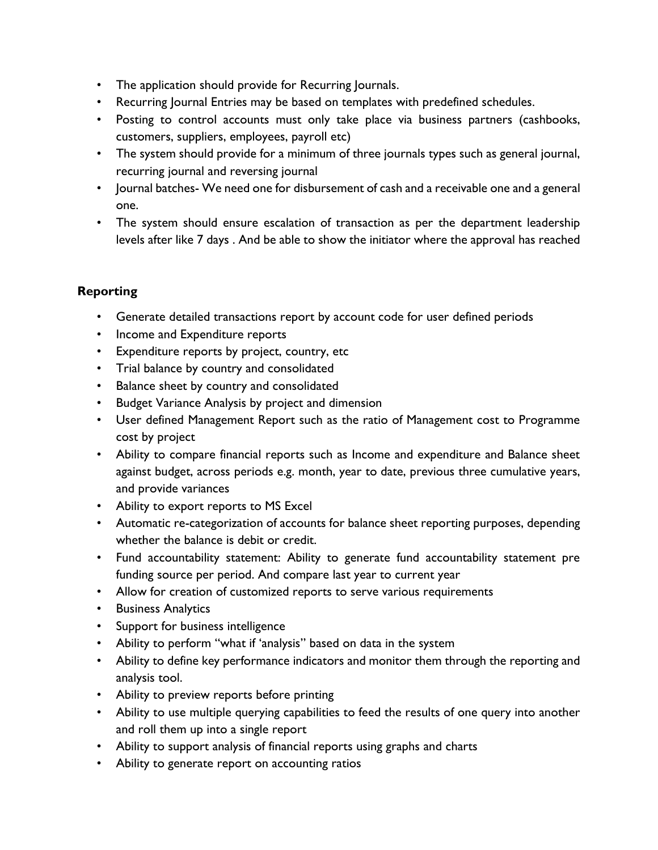- The application should provide for Recurring Journals.
- Recurring Journal Entries may be based on templates with predefined schedules.
- Posting to control accounts must only take place via business partners (cashbooks, customers, suppliers, employees, payroll etc)
- The system should provide for a minimum of three journals types such as general journal, recurring journal and reversing journal
- Journal batches- We need one for disbursement of cash and a receivable one and a general one.
- The system should ensure escalation of transaction as per the department leadership levels after like 7 days . And be able to show the initiator where the approval has reached

- Generate detailed transactions report by account code for user defined periods
- Income and Expenditure reports
- Expenditure reports by project, country, etc
- Trial balance by country and consolidated
- Balance sheet by country and consolidated
- Budget Variance Analysis by project and dimension
- User defined Management Report such as the ratio of Management cost to Programme cost by project
- Ability to compare financial reports such as Income and expenditure and Balance sheet against budget, across periods e.g. month, year to date, previous three cumulative years, and provide variances
- Ability to export reports to MS Excel
- Automatic re-categorization of accounts for balance sheet reporting purposes, depending whether the balance is debit or credit.
- Fund accountability statement: Ability to generate fund accountability statement pre funding source per period. And compare last year to current year
- Allow for creation of customized reports to serve various requirements
- Business Analytics
- Support for business intelligence
- Ability to perform "what if 'analysis" based on data in the system
- Ability to define key performance indicators and monitor them through the reporting and analysis tool.
- Ability to preview reports before printing
- Ability to use multiple querying capabilities to feed the results of one query into another and roll them up into a single report
- Ability to support analysis of financial reports using graphs and charts
- Ability to generate report on accounting ratios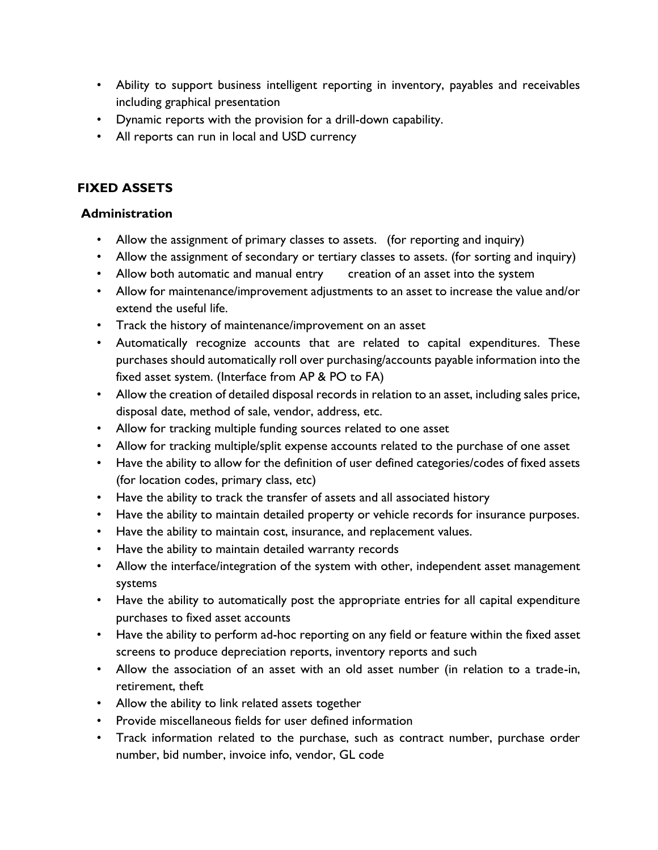- Ability to support business intelligent reporting in inventory, payables and receivables including graphical presentation
- Dynamic reports with the provision for a drill-down capability.
- All reports can run in local and USD currency

# **FIXED ASSETS**

- Allow the assignment of primary classes to assets. (for reporting and inquiry)
- Allow the assignment of secondary or tertiary classes to assets. (for sorting and inquiry)
- Allow both automatic and manual entry creation of an asset into the system
- Allow for maintenance/improvement adjustments to an asset to increase the value and/or extend the useful life.
- Track the history of maintenance/improvement on an asset
- Automatically recognize accounts that are related to capital expenditures. These purchases should automatically roll over purchasing/accounts payable information into the fixed asset system. (Interface from AP & PO to FA)
- Allow the creation of detailed disposal records in relation to an asset, including sales price, disposal date, method of sale, vendor, address, etc.
- Allow for tracking multiple funding sources related to one asset
- Allow for tracking multiple/split expense accounts related to the purchase of one asset
- Have the ability to allow for the definition of user defined categories/codes of fixed assets (for location codes, primary class, etc)
- Have the ability to track the transfer of assets and all associated history
- Have the ability to maintain detailed property or vehicle records for insurance purposes.
- Have the ability to maintain cost, insurance, and replacement values.
- Have the ability to maintain detailed warranty records
- Allow the interface/integration of the system with other, independent asset management systems
- Have the ability to automatically post the appropriate entries for all capital expenditure purchases to fixed asset accounts
- Have the ability to perform ad-hoc reporting on any field or feature within the fixed asset screens to produce depreciation reports, inventory reports and such
- Allow the association of an asset with an old asset number (in relation to a trade-in, retirement, theft
- Allow the ability to link related assets together
- Provide miscellaneous fields for user defined information
- Track information related to the purchase, such as contract number, purchase order number, bid number, invoice info, vendor, GL code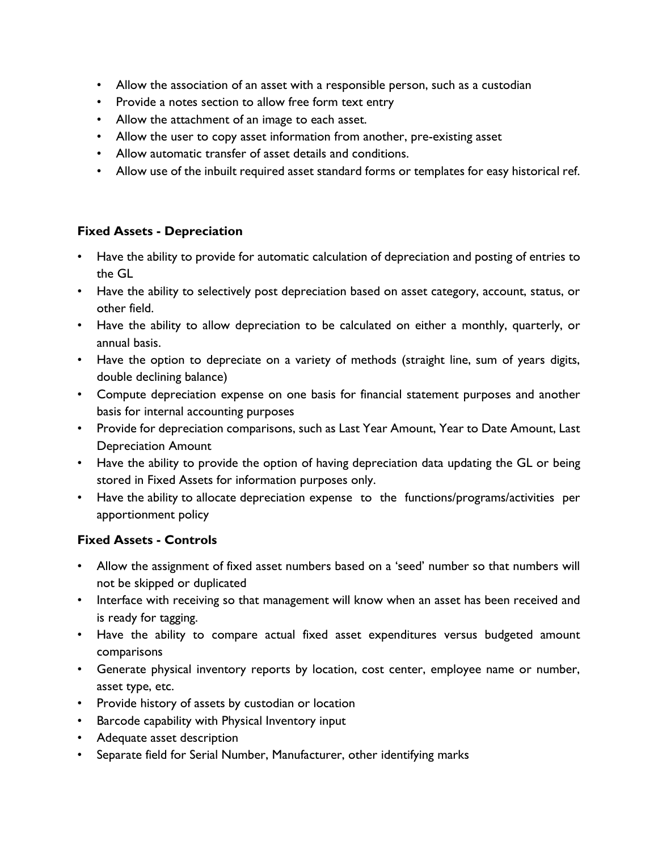- Allow the association of an asset with a responsible person, such as a custodian
- Provide a notes section to allow free form text entry
- Allow the attachment of an image to each asset.
- Allow the user to copy asset information from another, pre-existing asset
- Allow automatic transfer of asset details and conditions.
- Allow use of the inbuilt required asset standard forms or templates for easy historical ref.

### **Fixed Assets - Depreciation**

- Have the ability to provide for automatic calculation of depreciation and posting of entries to the GL
- Have the ability to selectively post depreciation based on asset category, account, status, or other field.
- Have the ability to allow depreciation to be calculated on either a monthly, quarterly, or annual basis.
- Have the option to depreciate on a variety of methods (straight line, sum of years digits, double declining balance)
- Compute depreciation expense on one basis for financial statement purposes and another basis for internal accounting purposes
- Provide for depreciation comparisons, such as Last Year Amount, Year to Date Amount, Last Depreciation Amount
- Have the ability to provide the option of having depreciation data updating the GL or being stored in Fixed Assets for information purposes only.
- Have the ability to allocate depreciation expense to the functions/programs/activities per apportionment policy

## **Fixed Assets - Controls**

- Allow the assignment of fixed asset numbers based on a 'seed' number so that numbers will not be skipped or duplicated
- Interface with receiving so that management will know when an asset has been received and is ready for tagging.
- Have the ability to compare actual fixed asset expenditures versus budgeted amount comparisons
- Generate physical inventory reports by location, cost center, employee name or number, asset type, etc.
- Provide history of assets by custodian or location
- Barcode capability with Physical Inventory input
- Adequate asset description
- Separate field for Serial Number, Manufacturer, other identifying marks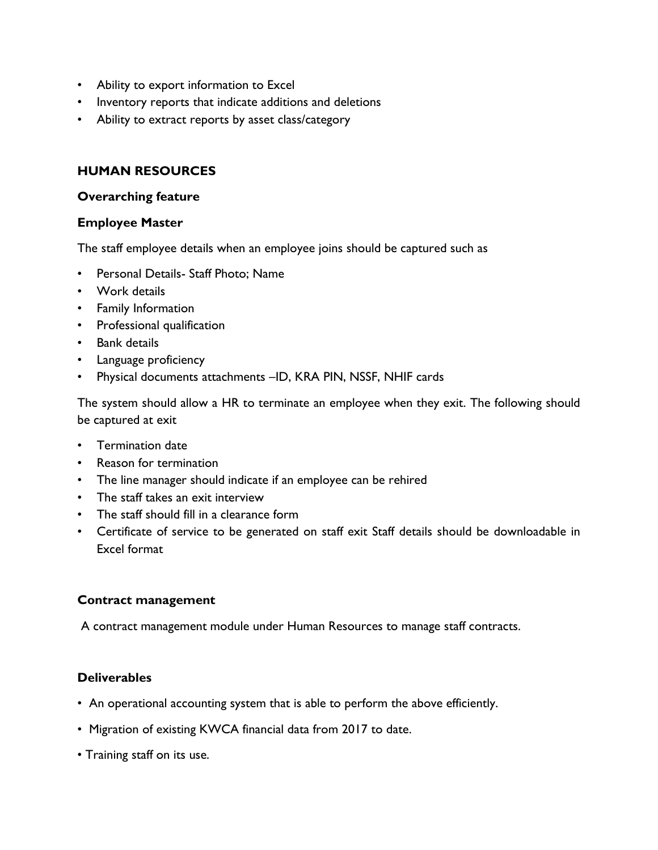- Ability to export information to Excel
- Inventory reports that indicate additions and deletions
- Ability to extract reports by asset class/category

### **HUMAN RESOURCES**

#### **Overarching feature**

#### **Employee Master**

The staff employee details when an employee joins should be captured such as

- Personal Details- Staff Photo; Name
- Work details
- Family Information
- Professional qualification
- Bank details
- Language proficiency
- Physical documents attachments –ID, KRA PIN, NSSF, NHIF cards

The system should allow a HR to terminate an employee when they exit. The following should be captured at exit

- Termination date
- Reason for termination
- The line manager should indicate if an employee can be rehired
- The staff takes an exit interview
- The staff should fill in a clearance form
- Certificate of service to be generated on staff exit Staff details should be downloadable in Excel format

#### **Contract management**

A contract management module under Human Resources to manage staff contracts.

### **Deliverables**

- An operational accounting system that is able to perform the above efficiently.
- Migration of existing KWCA financial data from 2017 to date.
- Training staff on its use.